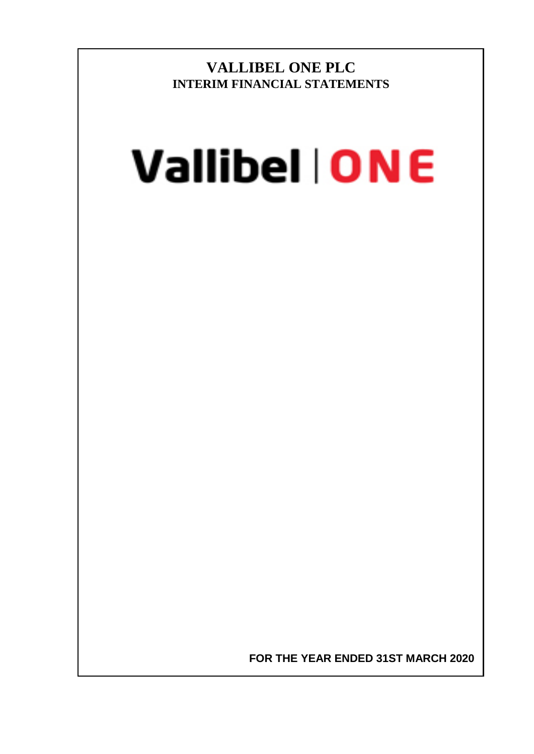**VALLIBEL ONE PLC INTERIM FINANCIAL STATEMENTS**

# Vallibel | ONE

**FOR THE YEAR ENDED 31ST MARCH 2020**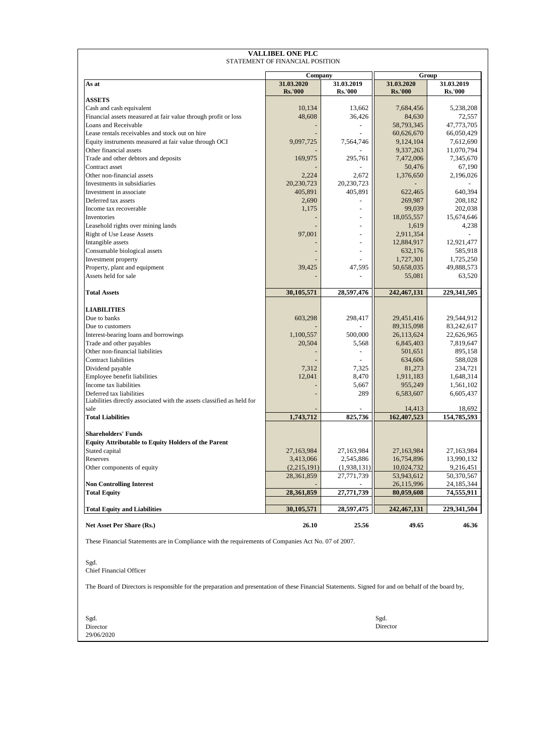#### **VALLIBEL ONE PLC** STATEMENT OF FINANCIAL POSITION

|                                                                                                                                                     | Company        |                | Group               |                     |  |  |
|-----------------------------------------------------------------------------------------------------------------------------------------------------|----------------|----------------|---------------------|---------------------|--|--|
| As at                                                                                                                                               | 31.03.2020     | 31.03.2019     | 31.03.2020          | 31.03.2019          |  |  |
|                                                                                                                                                     | <b>Rs.'000</b> | <b>Rs.'000</b> | <b>Rs.'000</b>      | <b>Rs.'000</b>      |  |  |
| <b>ASSETS</b>                                                                                                                                       |                |                |                     |                     |  |  |
| Cash and cash equivalent                                                                                                                            | 10,134         | 13,662         | 7,684,456           | 5,238,208           |  |  |
| Financial assets measured at fair value through profit or loss                                                                                      | 48,608         | 36,426         | 84,630              | 72,557              |  |  |
| Loans and Receivable                                                                                                                                |                |                | 58,793,345          | 47,773,705          |  |  |
| Lease rentals receivables and stock out on hire                                                                                                     |                |                | 60,626,670          | 66,050,429          |  |  |
| Equity instruments measured at fair value through OCI                                                                                               | 9,097,725      | 7,564,746      | 9,124,104           | 7,612,690           |  |  |
| Other financial assets                                                                                                                              |                |                | 9,337,263           | 11,070,794          |  |  |
| Trade and other debtors and deposits<br>Contract asset                                                                                              | 169,975        | 295,761        | 7,472,006<br>50,476 | 7,345,670<br>67,190 |  |  |
| Other non-financial assets                                                                                                                          | 2,224          | 2,672          | 1,376,650           | 2,196,026           |  |  |
| Investments in subsidiaries                                                                                                                         | 20,230,723     | 20,230,723     |                     |                     |  |  |
| Investment in associate                                                                                                                             | 405,891        | 405,891        | 622,465             | 640,394             |  |  |
| Deferred tax assets                                                                                                                                 | 2,690          |                | 269,987             | 208,182             |  |  |
| Income tax recoverable                                                                                                                              | 1,175          |                | 99,039              | 202,038             |  |  |
| Inventories                                                                                                                                         |                |                | 18,055,557          | 15,674,646          |  |  |
| Leasehold rights over mining lands                                                                                                                  |                |                | 1,619               | 4,238               |  |  |
| <b>Right of Use Lease Assets</b>                                                                                                                    | 97,001         |                | 2,911,354           |                     |  |  |
| Intangible assets                                                                                                                                   |                |                | 12,884,917          | 12,921,477          |  |  |
| Consumable biological assets                                                                                                                        |                |                | 632,176             | 585,918             |  |  |
| Investment property                                                                                                                                 |                |                | 1,727,301           | 1,725,250           |  |  |
| Property, plant and equipment                                                                                                                       | 39,425         | 47,595         | 50,658,035          | 49,888,573          |  |  |
| Assets held for sale                                                                                                                                |                |                | 55,081              | 63,520              |  |  |
|                                                                                                                                                     |                |                |                     |                     |  |  |
| <b>Total Assets</b>                                                                                                                                 | 30,105,571     | 28,597,476     | 242, 467, 131       | 229,341,505         |  |  |
|                                                                                                                                                     |                |                |                     |                     |  |  |
| <b>LIABILITIES</b>                                                                                                                                  |                |                |                     |                     |  |  |
| Due to banks                                                                                                                                        | 603,298        | 298,417        | 29,451,416          | 29,544,912          |  |  |
| Due to customers                                                                                                                                    |                |                | 89,315,098          | 83,242,617          |  |  |
| Interest-bearing loans and borrowings                                                                                                               | 1,100,557      | 500,000        | 26,113,624          | 22,626,965          |  |  |
| Trade and other payables                                                                                                                            | 20,504         | 5,568          | 6,845,403           | 7,819,647           |  |  |
| Other non-financial liabilities                                                                                                                     |                |                | 501,651             | 895,158             |  |  |
| <b>Contract liabilities</b>                                                                                                                         |                |                | 634,606             | 588,028             |  |  |
| Dividend payable                                                                                                                                    | 7,312          | 7,325          | 81,273              | 234,721             |  |  |
| Employee benefit liabilities                                                                                                                        | 12,041         | 8,470          | 1,911,183           | 1,648,314           |  |  |
| Income tax liabilities                                                                                                                              |                | 5,667          | 955,249             | 1,561,102           |  |  |
| Deferred tax liabilities<br>Liabilities directly associated with the assets classified as held for                                                  |                | 289            | 6,583,607           | 6,605,437           |  |  |
| sale                                                                                                                                                |                |                | 14,413              | 18,692              |  |  |
| <b>Total Liabilities</b>                                                                                                                            | 1,743,712      | 825,736        | 162,407,523         | 154,785,593         |  |  |
|                                                                                                                                                     |                |                |                     |                     |  |  |
| <b>Shareholders' Funds</b>                                                                                                                          |                |                |                     |                     |  |  |
| <b>Equity Attributable to Equity Holders of the Parent</b>                                                                                          |                |                |                     |                     |  |  |
| Stated capital                                                                                                                                      | 27,163,984     | 27,163,984     | 27,163,984          | 27,163,984          |  |  |
| Reserves                                                                                                                                            | 3,413,066      | 2,545,886      | 16,754,896          | 13,990,132          |  |  |
| Other components of equity                                                                                                                          | (2,215,191)    | (1,938,131)    | 10,024,732          | 9,216,451           |  |  |
|                                                                                                                                                     | 28,361,859     | 27,771,739     | 53,943,612          | 50,370,567          |  |  |
| <b>Non Controlling Interest</b>                                                                                                                     |                |                | 26,115,996          | 24,185,344          |  |  |
| <b>Total Equity</b>                                                                                                                                 | 28,361,859     | 27,771,739     | 80,059,608          | 74,555,911          |  |  |
|                                                                                                                                                     |                |                |                     |                     |  |  |
| <b>Total Equity and Liabilities</b>                                                                                                                 | 30,105,571     | 28,597,475     | 242, 467, 131       | 229,341,504         |  |  |
| Net Asset Per Share (Rs.)                                                                                                                           | 26.10          | 25.56          | 49.65               | 46.36               |  |  |
| These Financial Statements are in Compliance with the requirements of Companies Act No. 07 of 2007.                                                 |                |                |                     |                     |  |  |
| Sgd.                                                                                                                                                |                |                |                     |                     |  |  |
| Chief Financial Officer                                                                                                                             |                |                |                     |                     |  |  |
|                                                                                                                                                     |                |                |                     |                     |  |  |
| The Board of Directors is responsible for the preparation and presentation of these Financial Statements. Signed for and on behalf of the board by, |                |                |                     |                     |  |  |
|                                                                                                                                                     |                |                |                     |                     |  |  |
|                                                                                                                                                     |                |                |                     |                     |  |  |

Sgd. Sgd. **Director** Director **Director** 29/06/2020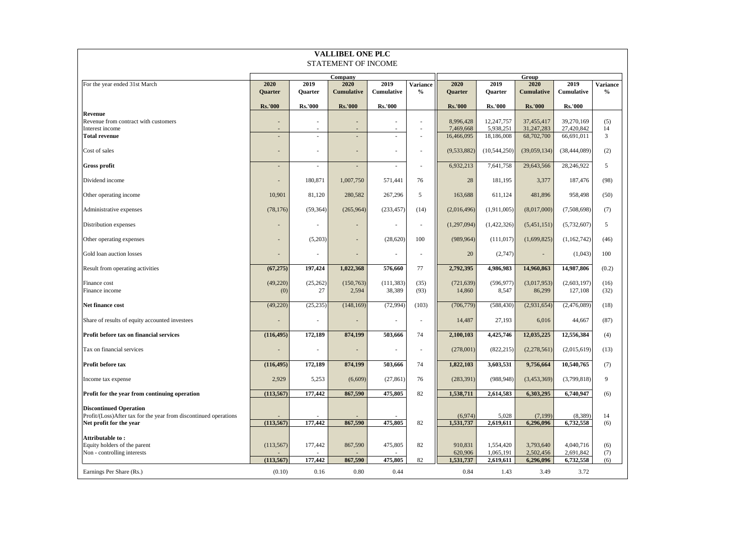| <b>VALLIBEL ONE PLC</b><br>STATEMENT OF INCOME                                              |                  |                          |                          |                          |                 |                      |                        |                        |                        |                 |
|---------------------------------------------------------------------------------------------|------------------|--------------------------|--------------------------|--------------------------|-----------------|----------------------|------------------------|------------------------|------------------------|-----------------|
|                                                                                             |                  |                          |                          |                          |                 |                      |                        |                        |                        |                 |
| For the year ended 31st March                                                               | 2020             | 2019                     | Company<br>2020          | 2019                     | <b>Variance</b> | 2020                 | 2019                   | Group<br>2020          | 2019                   | <b>Variance</b> |
|                                                                                             | <b>Ouarter</b>   | <b>Ouarter</b>           | <b>Cumulative</b>        | Cumulative               | $\%$            | Quarter              | <b>Ouarter</b>         | <b>Cumulative</b>      | Cumulative             | $\frac{6}{6}$   |
|                                                                                             | <b>Rs.'000</b>   | <b>Rs.'000</b>           | <b>Rs.'000</b>           | <b>Rs.'000</b>           |                 | <b>Rs.'000</b>       | <b>Rs.'000</b>         | <b>Rs.'000</b>         | <b>Rs.'000</b>         |                 |
| Revenue<br>Revenue from contract with customers                                             |                  | ÷,                       |                          |                          | $\sim$          | 8,996,428            | 12,247,757             | 37,455,417             | 39,270,169             | (5)             |
| Interest income                                                                             |                  |                          |                          |                          |                 | 7,469,668            | 5,938,251              | 31,247,283             | 27,420,842             | 14              |
| <b>Total revenue</b>                                                                        |                  | ÷,                       | $\overline{\phantom{a}}$ | ٠                        |                 | 16,466,095           | 18,186,008             | 68,702,700             | 66,691,011             | $\mathbf{3}$    |
| Cost of sales                                                                               |                  | ä,                       | $\overline{\phantom{a}}$ | ٠                        |                 | (9,533,882)          | (10, 544, 250)         | (39,059,134)           | (38, 444, 089)         | (2)             |
| <b>Gross profit</b>                                                                         |                  | $\overline{\phantom{a}}$ | $\overline{\phantom{a}}$ | $\overline{\phantom{a}}$ | $\sim$          | 6,932,213            | 7,641,758              | 29,643,566             | 28,246,922             | 5               |
| Dividend income                                                                             |                  | 180,871                  | 1,007,750                | 571,441                  | 76              | 28                   | 181,195                | 3,377                  | 187,476                | (98)            |
| Other operating income                                                                      | 10,901           | 81,120                   | 280,582                  | 267,296                  | 5               | 163,688              | 611,124                | 481,896                | 958,498                | (50)            |
| Administrative expenses                                                                     | (78, 176)        | (59, 364)                | (265,964)                | (233, 457)               | (14)            | (2,016,496)          | (1,911,005)            | (8,017,000)            | (7,508,698)            | (7)             |
| Distribution expenses                                                                       |                  | $\sim$                   |                          | $\sim$                   | $\sim$          | (1,297,094)          | (1,422,326)            | (5,451,151)            | (5,732,607)            | 5               |
| Other operating expenses                                                                    |                  | (5,203)                  | $\sim$                   | (28, 620)                | 100             | (989, 964)           | (111, 017)             | (1,699,825)            | (1,162,742)            | (46)            |
| Gold loan auction losses                                                                    |                  |                          |                          | ٠                        | $\sim$          | 20                   | (2,747)                |                        | (1,043)                | 100             |
| Result from operating activities                                                            | (67, 275)        | 197,424                  | 1,022,368                | 576,660                  | 77              | 2,792,395            | 4,986,983              | 14,960,863             | 14,987,806             | (0.2)           |
| Finance cost<br>Finance income                                                              | (49, 220)<br>(0) | (25, 262)<br>27          | (150, 763)<br>2,594      | (111, 383)<br>38,389     | (35)<br>(93)    | (721, 639)<br>14,860 | (596, 977)<br>8,547    | (3,017,953)<br>86,299  | (2,603,197)<br>127,108 | (16)<br>(32)    |
|                                                                                             |                  |                          |                          |                          |                 |                      |                        |                        |                        |                 |
| Net finance cost                                                                            | (49, 220)        | (25, 235)                | (148, 169)               | (72, 994)                | (103)           | (706, 779)           | (588, 430)             | (2,931,654)            | (2,476,089)            | (18)            |
| Share of results of equity accounted investees                                              |                  | i,                       |                          | ÷,                       | $\sim$          | 14,487               | 27,193                 | 6,016                  | 44,667                 | (87)            |
| Profit before tax on financial services                                                     | (116, 495)       | 172,189                  | 874,199                  | 503,666                  | 74              | 2,100,103            | 4,425,746              | 12,035,225             | 12,556,384             | (4)             |
| Tax on financial services                                                                   |                  | ×.                       | $\overline{\phantom{a}}$ | $\sim$                   | ×               | (278,001)            | (822, 215)             | (2,278,561)            | (2,015,619)            | (13)            |
| Profit before tax                                                                           | (116, 495)       | 172,189                  | 874,199                  | 503,666                  | 74              | 1,822,103            | 3,603,531              | 9,756,664              | 10,540,765             | (7)             |
| Income tax expense                                                                          | 2,929            | 5,253                    | (6,609)                  | (27, 861)                | 76              | (283, 391)           | (988, 948)             | (3,453,369)            | (3,799,818)            | 9               |
| Profit for the year from continuing operation                                               | (113, 567)       | 177,442                  | 867,590                  | 475,805                  | 82              | 1,538,711            | 2,614,583              | 6,303,295              | 6,740,947              | (6)             |
| <b>Discontinued Operation</b>                                                               |                  |                          |                          |                          |                 |                      |                        |                        |                        |                 |
| Profit/(Loss)After tax for the year from discontinued operations<br>Net profit for the year | (113, 567)       | 177,442                  | 867,590                  | 475,805                  | 82              | (6,974)<br>1,531,737 | 5,028<br>2,619,611     | (7,199)<br>6,296,096   | (8,389)<br>6,732,558   | 14<br>(6)       |
| <b>Attributable to :</b>                                                                    |                  |                          |                          |                          |                 |                      |                        |                        |                        |                 |
| Equity holders of the parent                                                                | (113, 567)       | 177,442                  | 867,590                  | 475,805                  | 82              | 910,831              | 1,554,420              | 3,793,640              | 4,040,716              | (6)             |
| Non - controlling interests                                                                 | (113, 567)       | 177,442                  | 867,590                  | 475,805                  | 82              | 620,906<br>1,531,737 | 1,065,191<br>2,619,611 | 2,502,456<br>6,296,096 | 2,691,842<br>6,732,558 | (7)<br>(6)      |
| Earnings Per Share (Rs.)                                                                    | (0.10)           | 0.16                     | 0.80                     | 0.44                     |                 | 0.84                 | 1.43                   | 3.49                   | 3.72                   |                 |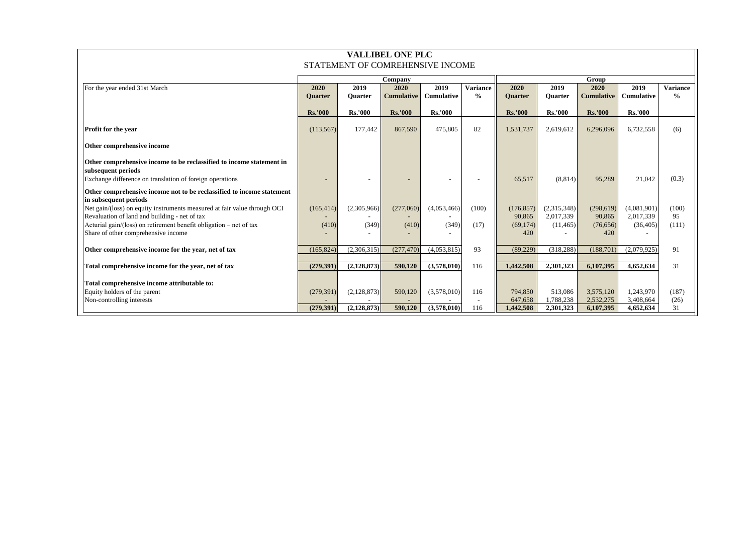| <b>VALLIBEL ONE PLC</b>                                                                                                                                                                         |                        |                      |                           |                           |                                  |                                   |                                       |                                   |                                       |                                  |
|-------------------------------------------------------------------------------------------------------------------------------------------------------------------------------------------------|------------------------|----------------------|---------------------------|---------------------------|----------------------------------|-----------------------------------|---------------------------------------|-----------------------------------|---------------------------------------|----------------------------------|
| STATEMENT OF COMREHENSIVE INCOME                                                                                                                                                                |                        |                      |                           |                           |                                  |                                   |                                       |                                   |                                       |                                  |
|                                                                                                                                                                                                 |                        |                      | Company                   |                           |                                  | Group                             |                                       |                                   |                                       |                                  |
| For the year ended 31st March                                                                                                                                                                   | 2020<br><b>Ouarter</b> | 2019<br>Quarter      | 2020<br><b>Cumulative</b> | 2019<br><b>Cumulative</b> | <b>Variance</b><br>$\frac{6}{6}$ | 2020<br><b>Ouarter</b>            | 2019<br><b>Ouarter</b>                | 2020<br><b>Cumulative</b>         | 2019<br><b>Cumulative</b>             | <b>Variance</b><br>$\frac{0}{0}$ |
|                                                                                                                                                                                                 | <b>Rs.'000</b>         | <b>Rs.'000</b>       | <b>Rs.'000</b>            | <b>Rs.'000</b>            |                                  | <b>Rs.'000</b>                    | <b>Rs.'000</b>                        | <b>Rs.'000</b>                    | <b>Rs.'000</b>                        |                                  |
| Profit for the year                                                                                                                                                                             | (113, 567)             | 177,442              | 867,590                   | 475,805                   | 82                               | 1,531,737                         | 2.619.612                             | 6,296,096                         | 6,732,558                             | (6)                              |
| Other comprehensive income                                                                                                                                                                      |                        |                      |                           |                           |                                  |                                   |                                       |                                   |                                       |                                  |
| Other comprehensive income to be reclassified to income statement in<br>subsequent periods<br>Exchange difference on translation of foreign operations                                          |                        |                      |                           |                           |                                  | 65,517                            | (8,814)                               | 95,289                            | 21,042                                | (0.3)                            |
| Other comprehensive income not to be reclassified to income statement<br>in subsequent periods                                                                                                  |                        |                      |                           |                           |                                  |                                   |                                       |                                   |                                       |                                  |
| Net gain/(loss) on equity instruments measured at fair value through OCI<br>Revaluation of land and building - net of tax<br>Acturial gain/(loss) on retirement benefit obligation - net of tax | (165, 414)<br>(410)    | (2,305,966)<br>(349) | (277,060)<br>(410)        | (4,053,466)<br>(349)      | (100)<br>(17)                    | (176, 857)<br>90,865<br>(69, 174) | (2,315,348)<br>2.017.339<br>(11, 465) | (298, 619)<br>90,865<br>(76, 656) | (4,081,901)<br>2,017,339<br>(36, 405) | (100)<br>95<br>(111)             |
| Share of other comprehensive income                                                                                                                                                             |                        |                      |                           |                           |                                  | 420                               |                                       | 420                               |                                       |                                  |
| Other comprehensive income for the year, net of tax                                                                                                                                             | (165, 824)             | (2,306,315)          | (277, 470)                | (4,053,815)               | 93                               | (89, 229)                         | (318, 288)                            | (188, 701)                        | (2,079,925)                           | 91                               |
| Total comprehensive income for the year, net of tax                                                                                                                                             | (279, 391)             | (2,128,873)          | 590,120                   | (3,578,010)               | 116                              | 1,442,508                         | 2,301,323                             | 6,107,395                         | 4,652,634                             | 31                               |
| Total comprehensive income attributable to:                                                                                                                                                     |                        |                      |                           |                           |                                  |                                   |                                       |                                   |                                       |                                  |
| Equity holders of the parent<br>Non-controlling interests                                                                                                                                       | (279, 391)             | (2,128,873)          | 590,120                   | (3,578,010)               | 116                              | 794,850<br>647,658                | 513.086<br>1,788,238                  | 3.575.120<br>2,532,275            | 1.243.970<br>3,408,664                | (187)<br>(26)                    |
|                                                                                                                                                                                                 | (279, 391)             | (2, 128, 873)        | 590,120                   | (3,578,010)               | 116                              | 1,442,508                         | 2,301,323                             | 6,107,395                         | 4,652,634                             | 31                               |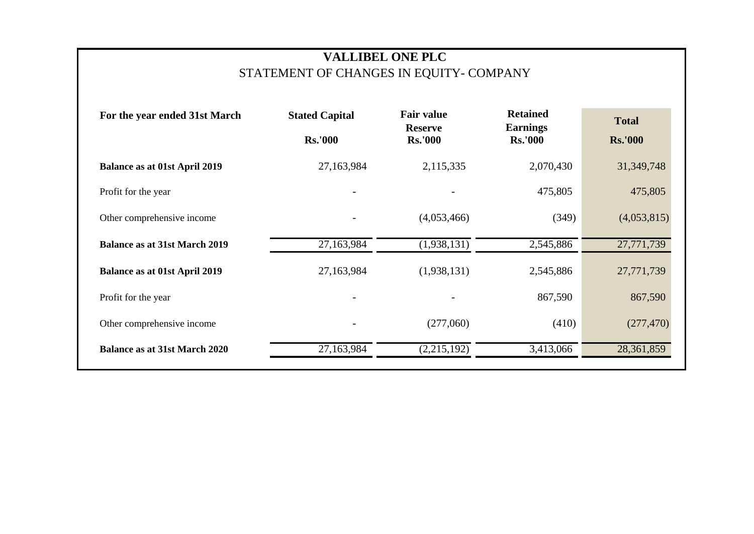# **VALLIBEL ONE PLC** STATEMENT OF CHANGES IN EQUITY- COMPANY

| For the year ended 31st March        | <b>Fair value</b><br><b>Stated Capital</b><br><b>Reserve</b><br><b>Rs.'000</b><br><b>Rs.'000</b> |                          | <b>Retained</b><br><b>Earnings</b><br><b>Rs.'000</b> | <b>Total</b><br><b>Rs.'000</b> |
|--------------------------------------|--------------------------------------------------------------------------------------------------|--------------------------|------------------------------------------------------|--------------------------------|
| <b>Balance as at 01st April 2019</b> | 27,163,984                                                                                       | 2,115,335                | 2,070,430                                            | 31,349,748                     |
| Profit for the year                  |                                                                                                  |                          | 475,805                                              | 475,805                        |
| Other comprehensive income           |                                                                                                  | (4,053,466)              | (349)                                                | (4,053,815)                    |
| <b>Balance as at 31st March 2019</b> | 27,163,984                                                                                       | $\overline{(1,938,131)}$ | 2,545,886                                            | 27,771,739                     |
| <b>Balance as at 01st April 2019</b> | 27,163,984                                                                                       | (1,938,131)              | 2,545,886                                            | 27,771,739                     |
| Profit for the year                  |                                                                                                  |                          | 867,590                                              | 867,590                        |
| Other comprehensive income           |                                                                                                  | (277,060)                | (410)                                                | (277, 470)                     |
| <b>Balance as at 31st March 2020</b> | 27,163,984                                                                                       | (2,215,192)              | 3,413,066                                            | 28,361,859                     |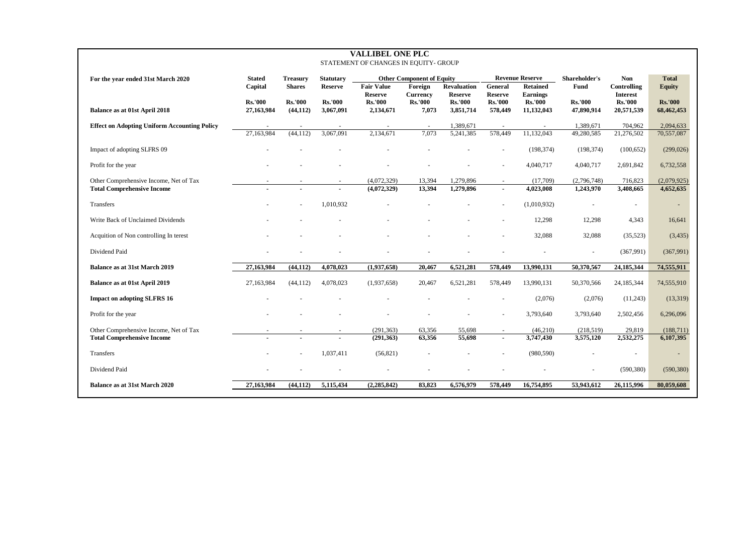| <b>VALLIBEL ONE PLC</b><br>STATEMENT OF CHANGES IN EQUITY- GROUP |                |                 |                          |                                  |                                   |                                  |                                  |                                   |                |                                   |                |
|------------------------------------------------------------------|----------------|-----------------|--------------------------|----------------------------------|-----------------------------------|----------------------------------|----------------------------------|-----------------------------------|----------------|-----------------------------------|----------------|
| For the year ended 31st March 2020                               | <b>Stated</b>  | <b>Treasurv</b> | <b>Statutary</b>         |                                  | <b>Other Component of Equity</b>  |                                  |                                  | <b>Revenue Reserve</b>            | Shareholder's  | <b>Non</b>                        | <b>Total</b>   |
|                                                                  | Capital        | <b>Shares</b>   | <b>Reserve</b>           | <b>Fair Value</b>                | Foreign                           | <b>Revaluation</b>               | General                          | <b>Retained</b>                   | Fund           | Controlling                       | <b>Equity</b>  |
|                                                                  | <b>Rs.'000</b> | <b>Rs.'000</b>  | <b>Rs.'000</b>           | <b>Reserve</b><br><b>Rs.'000</b> | <b>Currency</b><br><b>Rs.'000</b> | <b>Reserve</b><br><b>Rs.'000</b> | <b>Reserve</b><br><b>Rs.'000</b> | <b>Earnings</b><br><b>Rs.'000</b> | <b>Rs.'000</b> | <b>Interest</b><br><b>Rs.'000</b> | <b>Rs.'000</b> |
| Balance as at 01st April 2018                                    | 27,163,984     | (44, 112)       | 3,067,091                | 2,134,671                        | 7,073                             | 3,851,714                        | 578,449                          | 11,132,043                        | 47,890,914     | 20,571,539                        | 68,462,453     |
| <b>Effect on Adopting Uniform Accounting Policy</b>              |                |                 |                          |                                  |                                   | 1,389,671                        |                                  |                                   | 1,389,671      | 704,962                           | 2,094,633      |
|                                                                  | 27,163,984     | (44, 112)       | 3,067,091                | 2,134,671                        | 7,073                             | 5,241,385                        | 578,449                          | 11,132,043                        | 49,280,585     | 21,276,502                        | 70,557,087     |
| Impact of adopting SLFRS 09                                      |                |                 |                          |                                  |                                   |                                  |                                  | (198, 374)                        | (198, 374)     | (100, 652)                        | (299, 026)     |
| Profit for the year                                              |                |                 |                          |                                  |                                   |                                  |                                  | 4,040,717                         | 4,040,717      | 2,691,842                         | 6,732,558      |
| Other Comprehensive Income, Net of Tax                           |                |                 |                          | (4,072,329)                      | 13,394                            | 1,279,896                        |                                  | (17,709)                          | (2,796,748)    | 716,823                           | (2,079,925)    |
| <b>Total Comprehensive Income</b>                                |                |                 |                          | (4,072,329)                      | 13,394                            | 1,279,896                        |                                  | 4,023,008                         | 1,243,970      | 3,408,665                         | 4,652,635      |
| Transfers                                                        |                |                 | 1,010,932                |                                  |                                   |                                  | L.                               | (1,010,932)                       | $\blacksquare$ | $\blacksquare$                    |                |
| Write Back of Unclaimed Dividends                                |                |                 |                          |                                  |                                   |                                  |                                  | 12,298                            | 12,298         | 4,343                             | 16,641         |
| Acquition of Non controlling In terest                           |                |                 |                          |                                  |                                   |                                  |                                  | 32,088                            | 32,088         | (35,523)                          | (3,435)        |
| Dividend Paid                                                    |                |                 |                          |                                  |                                   |                                  |                                  |                                   | ÷,             | (367,991)                         | (367,991)      |
| Balance as at 31st March 2019                                    | 27,163,984     | (44, 112)       | 4,078,023                | (1,937,658)                      | 20,467                            | 6,521,281                        | 578,449                          | 13,990,131                        | 50,370,567     | 24,185,344                        | 74,555,911     |
| Balance as at 01st April 2019                                    | 27,163,984     | (44, 112)       | 4,078,023                | (1,937,658)                      | 20,467                            | 6,521,281                        | 578,449                          | 13,990,131                        | 50,370,566     | 24,185,344                        | 74,555,910     |
| <b>Impact on adopting SLFRS 16</b>                               |                |                 |                          |                                  |                                   |                                  |                                  | (2,076)                           | (2,076)        | (11,243)                          | (13,319)       |
| Profit for the year                                              |                |                 |                          |                                  |                                   |                                  |                                  | 3,793,640                         | 3,793,640      | 2,502,456                         | 6,296,096      |
| Other Comprehensive Income, Net of Tax                           |                |                 | $\overline{\phantom{a}}$ | (291, 363)                       | 63,356                            | 55,698                           | $\sim$                           | (46,210)                          | (218,519)      | 29,819                            | (188,711)      |
| <b>Total Comprehensive Income</b>                                |                |                 |                          | (291, 363)                       | 63,356                            | 55,698                           | $\blacksquare$                   | 3,747,430                         | 3,575,120      | 2,532,275                         | 6,107,395      |
| <b>Transfers</b>                                                 |                |                 | 1,037,411                | (56, 821)                        |                                   |                                  |                                  | (980, 590)                        |                |                                   |                |
| Dividend Paid                                                    |                |                 |                          |                                  |                                   |                                  |                                  |                                   |                | (590, 380)                        | (590, 380)     |
| Balance as at 31st March 2020                                    | 27,163,984     | (44, 112)       | 5,115,434                | (2, 285, 842)                    | 83,823                            | 6,576,979                        | 578,449                          | 16,754,895                        | 53,943,612     | 26,115,996                        | 80,059,608     |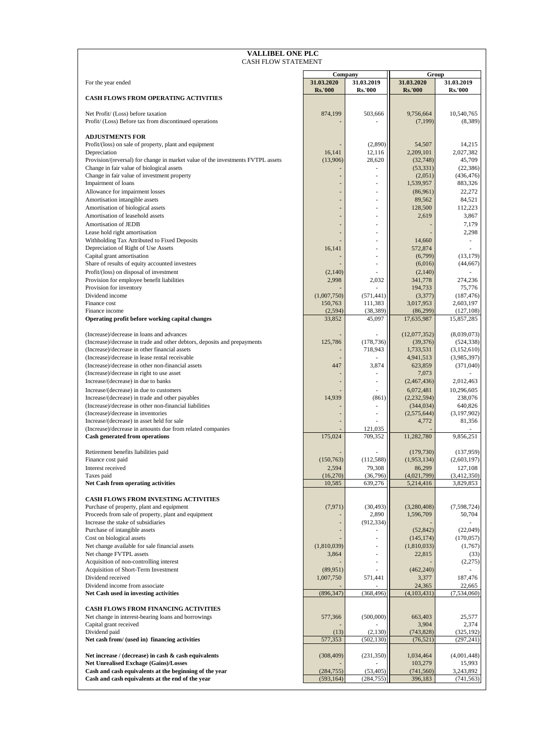| <b>VALLIBEL ONE PLC</b><br><b>CASH FLOW STATEMENT</b>                                                                     |                              |                              |                              |                              |
|---------------------------------------------------------------------------------------------------------------------------|------------------------------|------------------------------|------------------------------|------------------------------|
|                                                                                                                           |                              | Company                      | Group                        |                              |
| For the year ended                                                                                                        | 31.03.2020<br><b>Rs.'000</b> | 31.03.2019<br><b>Rs.'000</b> | 31.03.2020<br><b>Rs.'000</b> | 31.03.2019<br><b>Rs.'000</b> |
| <b>CASH FLOWS FROM OPERATING ACTIVITIES</b>                                                                               |                              |                              |                              |                              |
| Net Profit/ (Loss) before taxation<br>Profit/ (Loss) Before tax from discontinued operations                              | 874,199                      | 503,666                      | 9,756,664<br>(7,199)         | 10,540,765<br>(8,389)        |
| <b>ADJUSTMENTS FOR</b>                                                                                                    |                              |                              |                              |                              |
| Profit/(loss) on sale of property, plant and equipment<br>Depreciation                                                    | 16,141                       | (2,890)<br>12,116            | 54,507<br>2,209,101          | 14,215<br>2,027,382          |
| Provision/(reversal) for change in market value of the investments FVTPL assets                                           | (13,906)                     | 28,620                       | (32,748)                     | 45,709                       |
| Change in fair value of biological assets<br>Change in fair value of investment property                                  | $\overline{\phantom{a}}$     | ÷.                           | (53, 331)<br>(2,051)         | (22, 386)<br>(436, 476)      |
| Impairment of loans                                                                                                       |                              |                              | 1,539,957                    | 883,326                      |
| Allowance for impairment losses<br>Amortisation intangible assets                                                         |                              | ä,<br>ä,                     | (86,961)<br>89,562           | 22,272<br>84,521             |
| Amortisation of biological assets                                                                                         |                              | ä,                           | 128,500                      | 112,223                      |
| Amortisation of leasehold assets<br>Amortisation of JEDB                                                                  |                              | ä,<br>ä,                     | 2,619                        | 3,867<br>7,179               |
| Lease hold right amortisation                                                                                             |                              | ä,                           |                              | 2,298                        |
| Withholding Tax Attributed to Fixed Deposits                                                                              |                              | ä,                           | 14,660                       | ä,                           |
| Depreciation of Right of Use Assets<br>Capital grant amortisation                                                         | 16,141                       | ä,<br>ä,                     | 572,874<br>(6,799)           | (13, 179)                    |
| Share of results of equity accounted investees                                                                            |                              |                              | (6,016)                      | (44, 667)                    |
| Profit/(loss) on disposal of investment<br>Provision for employee benefit liabilities                                     | (2,140)<br>2,998             | 2,032                        | (2,140)<br>341,778           | 274,236                      |
| Provision for inventory                                                                                                   |                              |                              | 194,733                      | 75,776                       |
| Dividend income<br>Finance cost                                                                                           | (1,007,750)<br>150,763       | (571, 441)<br>111,383        | (3,377)<br>3,017,953         | (187, 476)<br>2,603,197      |
| Finance income                                                                                                            | (2, 594)                     | (38, 389)                    | (86,299)                     | (127, 108)                   |
| Operating profit before working capital changes                                                                           | 33,852                       | 45,097                       | 17,635,987                   | 15,857,285                   |
| (Increase)/decrease in loans and advances                                                                                 |                              |                              | (12,077,352)                 | (8,039,073)                  |
| (Increase)/decrease in trade and other debtors, deposits and prepayments<br>(Increase)/decrease in other financial assets | 125,786                      | (178, 736)<br>718,943        | (39,376)<br>1,733,531        | (524, 338)<br>(3,152,610)    |
| (Increase)/decrease in lease rental receivable                                                                            |                              |                              | 4,941,513                    | (3,985,397)                  |
| (Increase)/decrease in other non-financial assets<br>(Increase)/decrease in right to use asset                            | 447                          | 3,874                        | 623,859<br>7,073             | (371,040)                    |
| Increase/(decrease) in due to banks                                                                                       |                              |                              | (2,467,436)                  | 2,012,463                    |
| Increase/(decrease) in due to customers<br>Increase/(decrease) in trade and other payables                                | 14,939                       | (861)                        | 6,072,481<br>(2, 232, 594)   | 10,296,605<br>238,076        |
| (Increase)/decrease in other non-financial liabilities                                                                    |                              |                              | (344, 034)                   | 640,826                      |
| (Increase)/decrease in inventories<br>Increase/(decrease) in asset held for sale                                          |                              | ä,                           | (2,575,644)<br>4,772         | (3,197,902)<br>81,356        |
| (Increase)/decrease in amounts due from related companies                                                                 |                              | 121,035                      |                              |                              |
| Cash generated from operations                                                                                            | 175,024                      | 709,352                      | 11,282,780                   | 9.856.251                    |
| Retirement benefits liabilities paid                                                                                      |                              |                              | (179, 730)                   | (137,959)                    |
| Finance cost paid<br>Interest received                                                                                    | (150, 763)<br>2,594          | (112, 588)<br>79,308         | (1,953,134)<br>86,299        | (2,603,197)<br>127,108       |
| Taxes paid                                                                                                                | (16,270)                     | (36,796)                     | (4,021,799)                  | (3,412,350)                  |
| Net Cash from operating activities                                                                                        | 10,585                       | 639,276                      | 5,214,416                    | 3,829,853                    |
| <b>CASH FLOWS FROM INVESTING ACTIVITIES</b>                                                                               |                              | (30, 493)                    | (3,280,408)                  | (7, 598, 724)                |
| Purchase of property, plant and equipment<br>Proceeds from sale of property, plant and equipment                          | (7, 971)                     | 2,890                        | 1,596,709                    | 50,704                       |
| Increase the stake of subsidiaries<br>Purchase of intangible assets                                                       |                              | (912, 334)                   | (52, 842)                    | (22,049)                     |
| Cost on biological assets                                                                                                 |                              |                              | (145, 174)                   | (170, 057)                   |
| Net change available for sale financial assets<br>Net change FVTPL assets                                                 | (1,810,039)                  |                              | (1,810,033)                  | (1,767)                      |
| Acquisition of non-controlling interest                                                                                   | 3,864                        |                              | 22,815                       | (33)<br>(2,275)              |
| Acquisition of Short-Term Investment                                                                                      | (89,951)                     |                              | (462, 240)                   |                              |
| Dividend received<br>Dividend income from associate                                                                       | 1,007,750                    | 571,441                      | 3,377<br>24,365              | 187,476<br>22,665            |
| Net Cash used in investing activities                                                                                     | (896, 347)                   | (368, 496)                   | (4, 103, 431)                | (7, 534, 060)                |
| <b>CASH FLOWS FROM FINANCING ACTIVITIES</b>                                                                               |                              |                              |                              |                              |
| Net change in interest-bearing loans and borrowings<br>Capital grant received                                             | 577,366                      | (500,000)                    | 663,403<br>3,904             | 25,577<br>2,374              |
| Dividend paid                                                                                                             | (13)                         | (2,130)                      | (743, 828)                   | (325, 192)                   |
| Net cash from/ (used in) financing activities                                                                             | 577,353                      | (502, 130)                   | (76, 521)                    | (297, 241)                   |
| Net increase / (decrease) in cash & cash equivalents                                                                      | (308, 409)                   | (231, 350)                   | 1,034,464                    | (4,001,448)                  |
| Net Unrealised Exchage (Gains)/Losses<br>Cash and cash equivalents at the beginning of the year                           | (284, 755)                   | (53, 405)                    | 103,279<br>(741, 560)        | 15,993<br>3,243,892          |
| Cash and cash equivalents at the end of the year                                                                          | (593, 164)                   | (284, 755)                   | 396,183                      | (741, 563)                   |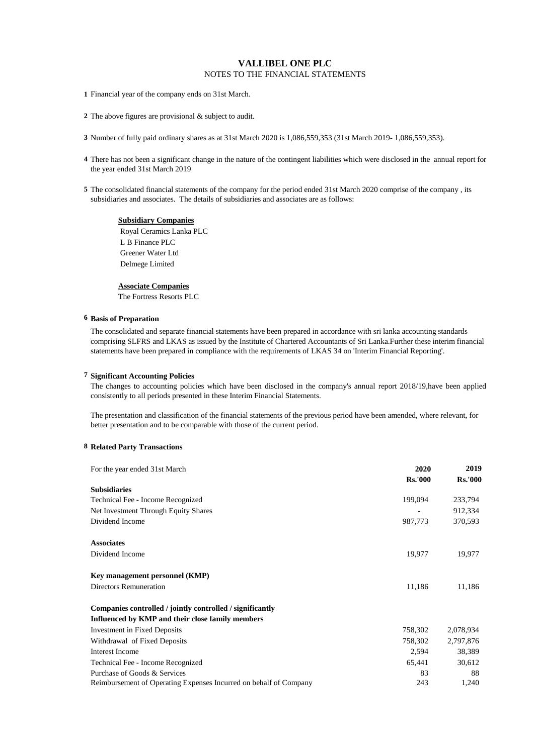**1** Financial year of the company ends on 31st March.

**2** The above figures are provisional & subject to audit.

**3** Number of fully paid ordinary shares as at 31st March 2020 is 1,086,559,353 (31st March 2019- 1,086,559,353).

- **4** There has not been a significant change in the nature of the contingent liabilities which were disclosed in the annual report for the year ended 31st March 2019
- **5** The consolidated financial statements of the company for the period ended 31st March 2020 comprise of the company , its subsidiaries and associates. The details of subsidiaries and associates are as follows:

**Subsidiary Companies** Royal Ceramics Lanka PLC L B Finance PLC Greener Water Ltd Delmege Limited

# **Associate Companies**

The Fortress Resorts PLC

# **6 Basis of Preparation**

The consolidated and separate financial statements have been prepared in accordance with sri lanka accounting standards comprising SLFRS and LKAS as issued by the Institute of Chartered Accountants of Sri Lanka.Further these interim financial statements have been prepared in compliance with the requirements of LKAS 34 on 'Interim Financial Reporting'.

# **7 Significant Accounting Policies**

The changes to accounting policies which have been disclosed in the company's annual report 2018/19, have been applied consistently to all periods presented in these Interim Financial Statements.

The presentation and classification of the financial statements of the previous period have been amended, where relevant, for better presentation and to be comparable with those of the current period.

# **8 Related Party Transactions**

| For the year ended 31st March                                     | 2020           | 2019           |
|-------------------------------------------------------------------|----------------|----------------|
|                                                                   | <b>Rs.'000</b> | <b>Rs.'000</b> |
| <b>Subsidiaries</b>                                               |                |                |
| Technical Fee - Income Recognized                                 | 199,094        | 233,794        |
| Net Investment Through Equity Shares                              |                | 912,334        |
| Dividend Income                                                   | 987,773        | 370,593        |
| <b>Associates</b>                                                 |                |                |
| Dividend Income                                                   | 19,977         | 19,977         |
| Key management personnel (KMP)                                    |                |                |
| <b>Directors Remuneration</b>                                     | 11,186         | 11,186         |
| Companies controlled / jointly controlled / significantly         |                |                |
| Influenced by KMP and their close family members                  |                |                |
| <b>Investment in Fixed Deposits</b>                               | 758,302        | 2,078,934      |
| Withdrawal of Fixed Deposits                                      | 758,302        | 2,797,876      |
| <b>Interest Income</b>                                            | 2,594          | 38,389         |
| Technical Fee - Income Recognized                                 | 65,441         | 30,612         |
| Purchase of Goods & Services                                      | 83             | 88             |
| Reimbursement of Operating Expenses Incurred on behalf of Company | 243            | 1,240          |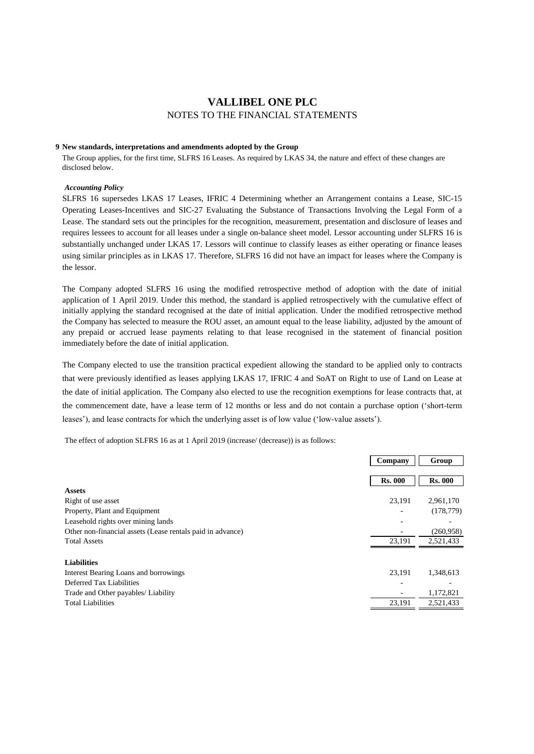# **9 New standards, interpretations and amendments adopted by the Group**

The Group applies, for the first time, SLFRS 16 Leases. As required by LKAS 34, the nature and effect of these changes are disclosed below.

#### *Accounting Policy*

SLFRS 16 supersedes LKAS 17 Leases, IFRIC 4 Determining whether an Arrangement contains a Lease, SIC-15 Operating Leases-Incentives and SIC-27 Evaluating the Substance of Transactions Involving the Legal Form of a Lease. The standard sets out the principles for the recognition, measurement, presentation and disclosure of leases and requires lessees to account for all leases under a single on-balance sheet model. Lessor accounting under SLFRS 16 is substantially unchanged under LKAS 17. Lessors will continue to classify leases as either operating or finance leases using similar principles as in LKAS 17. Therefore, SLFRS 16 did not have an impact for leases where the Company is the lessor.

The Company adopted SLFRS 16 using the modified retrospective method of adoption with the date of initial application of 1 April 2019. Under this method, the standard is applied retrospectively with the cumulative effect of initially applying the standard recognised at the date of initial application. Under the modified retrospective method the Company has selected to measure the ROU asset, an amount equal to the lease liability, adjusted by the amount of any prepaid or accrued lease payments relating to that lease recognised in the statement of financial position immediately before the date of initial application.

The Company elected to use the transition practical expedient allowing the standard to be applied only to contracts that were previously identified as leases applying LKAS 17, IFRIC 4 and SoAT on Right to use of Land on Lease at the date of initial application. The Company also elected to use the recognition exemptions for lease contracts that, at the commencement date, have a lease term of 12 months or less and do not contain a purchase option ('short-term leases'), and lease contracts for which the underlying asset is of low value ('low-value assets').

The effect of adoption SLFRS 16 as at 1 April 2019 (increase/ (decrease)) is as follows:

|                                                            | Company        | Group          |
|------------------------------------------------------------|----------------|----------------|
|                                                            | <b>Rs. 000</b> | <b>Rs. 000</b> |
| <b>Assets</b>                                              |                |                |
| Right of use asset                                         | 23.191         | 2,961,170      |
| Property, Plant and Equipment                              |                | (178, 779)     |
| Leasehold rights over mining lands                         |                |                |
| Other non-financial assets (Lease rentals paid in advance) |                | (260,958)      |
| <b>Total Assets</b>                                        | 23,191         | 2,521,433      |
| <b>Liabilities</b>                                         |                |                |
| Interest Bearing Loans and borrowings                      | 23.191         | 1,348,613      |
| Deferred Tax Liabilities                                   |                |                |
| Trade and Other payables/ Liability                        |                | 1,172,821      |
| <b>Total Liabilities</b>                                   | 23,191         | 2,521,433      |
|                                                            |                |                |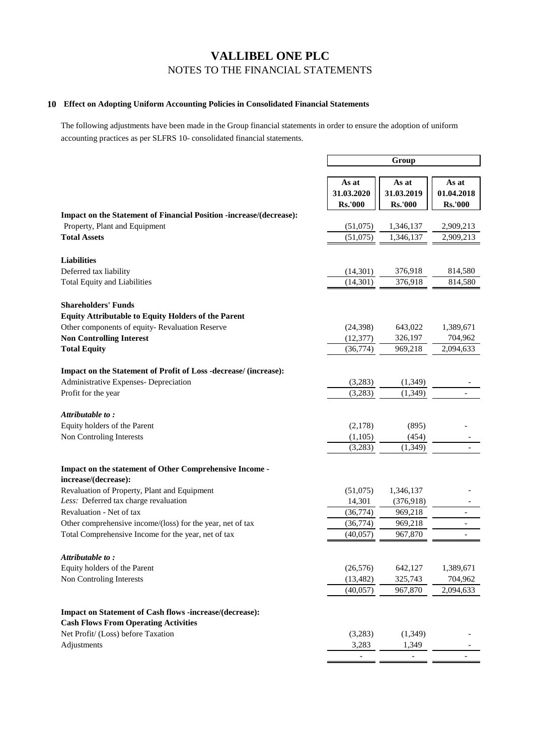# **10 Effect on Adopting Uniform Accounting Policies in Consolidated Financial Statements**

The following adjustments have been made in the Group financial statements in order to ensure the adoption of uniform accounting practices as per SLFRS 10- consolidated financial statements.

|                                                                                                             |                    | Group          |                |
|-------------------------------------------------------------------------------------------------------------|--------------------|----------------|----------------|
|                                                                                                             |                    |                |                |
|                                                                                                             | As at              | As at          | As at          |
|                                                                                                             | 31.03.2020         | 31.03.2019     | 01.04.2018     |
|                                                                                                             | <b>Rs.'000</b>     | <b>Rs.'000</b> | <b>Rs.'000</b> |
| <b>Impact on the Statement of Financial Position -increase/(decrease):</b><br>Property, Plant and Equipment | (51,075)           | 1,346,137      | 2,909,213      |
| <b>Total Assets</b>                                                                                         | (51,075)           | 1,346,137      | 2,909,213      |
|                                                                                                             |                    |                |                |
| <b>Liabilities</b>                                                                                          |                    |                |                |
| Deferred tax liability                                                                                      | (14,301)           | 376,918        | 814,580        |
| <b>Total Equity and Liabilities</b>                                                                         | (14, 301)          | 376,918        | 814,580        |
| <b>Shareholders' Funds</b>                                                                                  |                    |                |                |
| <b>Equity Attributable to Equity Holders of the Parent</b>                                                  |                    |                |                |
| Other components of equity-Revaluation Reserve                                                              | (24, 398)          | 643,022        | 1,389,671      |
| <b>Non Controlling Interest</b>                                                                             | (12, 377)          | 326,197        | 704,962        |
| <b>Total Equity</b>                                                                                         | (36, 774)          | 969,218        | 2,094,633      |
| Impact on the Statement of Profit of Loss -decrease/ (increase):                                            |                    |                |                |
| Administrative Expenses- Depreciation                                                                       | (3,283)            | (1,349)        |                |
| Profit for the year                                                                                         | (3,283)            | (1, 349)       | $\overline{a}$ |
|                                                                                                             |                    |                |                |
| Attributable to:                                                                                            |                    |                |                |
| Equity holders of the Parent                                                                                | (2,178)            | (895)          |                |
| Non Controling Interests                                                                                    | (1,105)<br>(3,283) | (454)          |                |
|                                                                                                             |                    | (1,349)        |                |
| Impact on the statement of Other Comprehensive Income -<br>increase/(decrease):                             |                    |                |                |
| Revaluation of Property, Plant and Equipment                                                                | (51,075)           | 1,346,137      |                |
| Less: Deferred tax charge revaluation                                                                       | 14,301             | (376,918)      |                |
| Revaluation - Net of tax                                                                                    | (36, 774)          | 969,218        |                |
| Other comprehensive income/(loss) for the year, net of tax                                                  | (36, 774)          | 969,218        |                |
| Total Comprehensive Income for the year, net of tax                                                         | (40,057)           | 967,870        |                |
| Attributable to:                                                                                            |                    |                |                |
| Equity holders of the Parent                                                                                | (26, 576)          | 642,127        | 1,389,671      |
| Non Controling Interests                                                                                    | (13, 482)          | 325,743        | 704,962        |
|                                                                                                             | (40,057)           | 967,870        | 2,094,633      |
| Impact on Statement of Cash flows -increase/(decrease):                                                     |                    |                |                |
| <b>Cash Flows From Operating Activities</b>                                                                 |                    |                |                |
| Net Profit/ (Loss) before Taxation                                                                          | (3,283)            | (1, 349)       |                |
| Adjustments                                                                                                 | 3,283              | 1,349          |                |
|                                                                                                             | $\overline{a}$     |                |                |
|                                                                                                             |                    |                |                |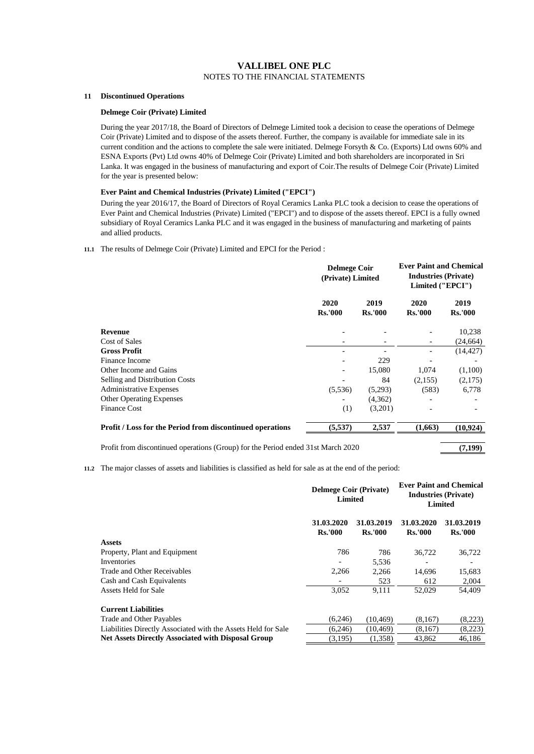# **11 Discontinued Operations**

# **Delmege Coir (Private) Limited**

During the year 2017/18, the Board of Directors of Delmege Limited took a decision to cease the operations of Delmege Coir (Private) Limited and to dispose of the assets thereof. Further, the company is available for immediate sale in its current condition and the actions to complete the sale were initiated. Delmege Forsyth & Co. (Exports) Ltd owns 60% and ESNA Exports (Pvt) Ltd owns 40% of Delmege Coir (Private) Limited and both shareholders are incorporated in Sri Lanka. It was engaged in the business of manufacturing and export of Coir.The results of Delmege Coir (Private) Limited for the year is presented below:

# **Ever Paint and Chemical Industries (Private) Limited ("EPCI")**

During the year 2016/17, the Board of Directors of Royal Ceramics Lanka PLC took a decision to cease the operations of Ever Paint and Chemical Industries (Private) Limited ("EPCI") and to dispose of the assets thereof. EPCI is a fully owned subsidiary of Royal Ceramics Lanka PLC and it was engaged in the business of manufacturing and marketing of paints and allied products.

# **11.1** The results of Delmege Coir (Private) Limited and EPCI for the Period :

|                                                           | <b>Delmege Coir</b><br>(Private) Limited |                        | <b>Ever Paint and Chemical</b><br><b>Industries (Private)</b><br>Limited ("EPCI") |                        |
|-----------------------------------------------------------|------------------------------------------|------------------------|-----------------------------------------------------------------------------------|------------------------|
|                                                           | 2020<br><b>Rs.'000</b>                   | 2019<br><b>Rs.'000</b> | 2020<br><b>Rs.'000</b>                                                            | 2019<br><b>Rs.'000</b> |
| Revenue                                                   |                                          |                        |                                                                                   | 10,238                 |
| Cost of Sales                                             |                                          |                        |                                                                                   | (24, 664)              |
| <b>Gross Profit</b>                                       |                                          |                        |                                                                                   | (14, 427)              |
| Finance Income                                            |                                          | 229                    |                                                                                   |                        |
| Other Income and Gains                                    |                                          | 15,080                 | 1,074                                                                             | (1,100)                |
| Selling and Distribution Costs                            |                                          | 84                     | (2,155)                                                                           | (2,175)                |
| <b>Administrative Expenses</b>                            | (5,536)                                  | (5,293)                | (583)                                                                             | 6,778                  |
| <b>Other Operating Expenses</b>                           |                                          | (4,362)                |                                                                                   |                        |
| <b>Finance Cost</b>                                       | (1)                                      | (3,201)                |                                                                                   |                        |
| Profit / Loss for the Period from discontinued operations | (5,537)                                  | 2,537                  | (1,663)                                                                           | (10, 924)              |

Profit from discontinued operations (Group) for the Period ended 31st March 2020 (7,199)

# **11.2** The major classes of assets and liabilities is classified as held for sale as at the end of the period:

|                                                               | <b>Delmege Coir (Private)</b><br>Limited |                              | <b>Ever Paint and Chemical</b> | <b>Industries (Private)</b><br><b>Limited</b> |
|---------------------------------------------------------------|------------------------------------------|------------------------------|--------------------------------|-----------------------------------------------|
|                                                               | 31.03.2020<br><b>Rs.'000</b>             | 31.03.2019<br><b>Rs.'000</b> | 31.03.2020<br><b>Rs.'000</b>   | 31.03.2019<br><b>Rs.'000</b>                  |
| <b>Assets</b>                                                 |                                          |                              |                                |                                               |
| Property, Plant and Equipment                                 | 786                                      | 786                          | 36,722                         | 36,722                                        |
| Inventories                                                   |                                          | 5,536                        |                                |                                               |
| Trade and Other Receivables                                   | 2,266                                    | 2,266                        | 14,696                         | 15,683                                        |
| Cash and Cash Equivalents                                     |                                          | 523                          | 612                            | 2,004                                         |
| Assets Held for Sale                                          | 3,052                                    | 9,111                        | 52,029                         | 54,409                                        |
| <b>Current Liabilities</b>                                    |                                          |                              |                                |                                               |
| Trade and Other Payables                                      | (6,246)                                  | (10.469)                     | (8.167)                        | (8,223)                                       |
| Liabilities Directly Associated with the Assets Held for Sale | (6,246)                                  | (10, 469)                    | (8,167)                        | (8,223)                                       |
| <b>Net Assets Directly Associated with Disposal Group</b>     | (3,195)                                  | (1,358)                      | 43,862                         | 46.186                                        |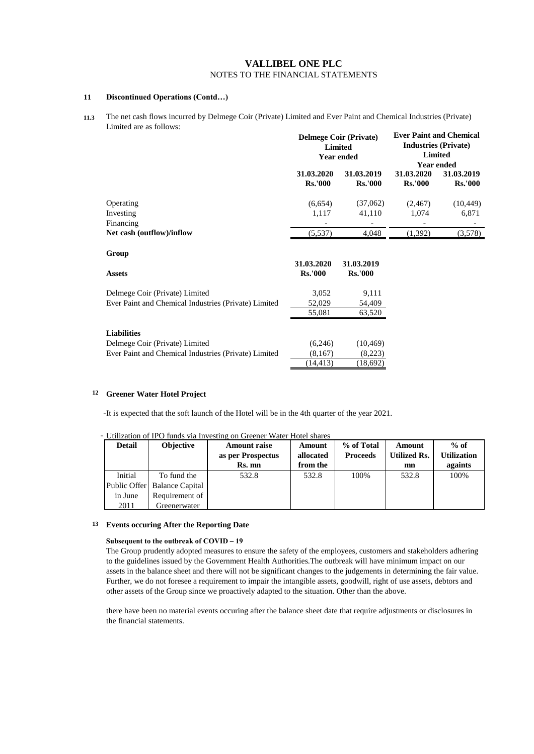# **11 Discontinued Operations (Contd…)**

**11.3** The net cash flows incurred by Delmege Coir (Private) Limited and Ever Paint and Chemical Industries (Private) Limited are as follows: **Ever Paint and Chemical** 

|                                                                                                              |                                 | <b>Delmege Coir (Private)</b><br><b>Limited</b><br><b>Year ended</b> | <b>Ever Paint and Chemical</b> | <b>Industries (Private)</b><br><b>Limited</b><br><b>Year ended</b> |
|--------------------------------------------------------------------------------------------------------------|---------------------------------|----------------------------------------------------------------------|--------------------------------|--------------------------------------------------------------------|
|                                                                                                              | 31.03.2020<br><b>Rs.'000</b>    | 31.03.2019<br><b>Rs.'000</b>                                         | 31.03.2020<br><b>Rs.'000</b>   | 31.03.2019<br><b>Rs.'000</b>                                       |
| Operating<br>Investing<br>Financing                                                                          | (6,654)<br>1,117                | (37,062)<br>41,110                                                   | (2,467)<br>1,074               | (10, 449)<br>6,871                                                 |
| Net cash (outflow)/inflow                                                                                    | (5,537)                         | 4,048                                                                | (1,392)                        | (3,578)                                                            |
| Group<br><b>Assets</b>                                                                                       | 31.03.2020<br><b>Rs.'000</b>    | 31.03.2019<br><b>Rs.'000</b>                                         |                                |                                                                    |
| Delmege Coir (Private) Limited<br>Ever Paint and Chemical Industries (Private) Limited                       | 3,052<br>52,029<br>55,081       | 9,111<br>54,409<br>63,520                                            |                                |                                                                    |
| <b>Liabilities</b><br>Delmege Coir (Private) Limited<br>Ever Paint and Chemical Industries (Private) Limited | (6,246)<br>(8,167)<br>(14, 413) | (10, 469)<br>(8,223)<br>(18,692)                                     |                                |                                                                    |

# **12 Greener Water Hotel Project**

- It is expected that the soft launch of the Hotel will be in the 4th quarter of the year 2021.

# - Utilization of IPO funds via Investing on Greener Water Hotel shares

| <b>Detail</b> | Objective                    | <b>Amount raise</b> | Amount    | % of Total      | Amount              | $%$ of             |
|---------------|------------------------------|---------------------|-----------|-----------------|---------------------|--------------------|
|               |                              | as per Prospectus   | allocated | <b>Proceeds</b> | <b>Utilized Rs.</b> | <b>Utilization</b> |
|               |                              | Rs. mn              | from the  |                 | mn                  | againts            |
| Initial       | To fund the                  | 532.8               | 532.8     | 100%            | 532.8               | 100%               |
|               | Public Offer Balance Capital |                     |           |                 |                     |                    |
| in June       | Requirement of               |                     |           |                 |                     |                    |
| 2011          | Greenerwater                 |                     |           |                 |                     |                    |

#### **13 Events occuring After the Reporting Date**

# **Subsequent to the outbreak of COVID – 19**

The Group prudently adopted measures to ensure the safety of the employees, customers and stakeholders adhering to the guidelines issued by the Government Health Authorities.The outbreak will have minimum impact on our assets in the balance sheet and there will not be significant changes to the judgements in determining the fair value. Further, we do not foresee a requirement to impair the intangible assets, goodwill, right of use assets, debtors and other assets of the Group since we proactively adapted to the situation. Other than the above.

there have been no material events occuring after the balance sheet date that require adjustments or disclosures in the financial statements.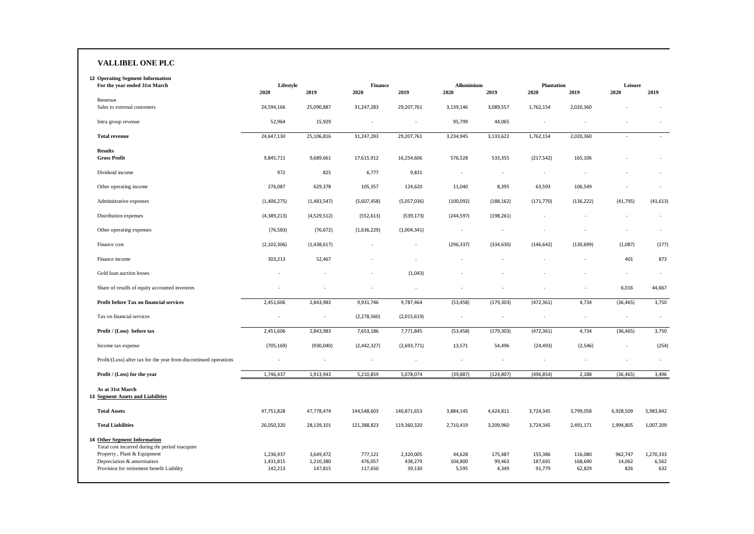#### **VALLIBEL ONE PLC**

| <b>12 Operating Segment Information</b>                                                                                                       |                        |                        |                        |                      |                    |                          |                           |                    |                   |                    |
|-----------------------------------------------------------------------------------------------------------------------------------------------|------------------------|------------------------|------------------------|----------------------|--------------------|--------------------------|---------------------------|--------------------|-------------------|--------------------|
| For the year ended 31st March                                                                                                                 | Lifestyle<br>2020      | 2019                   | <b>Finance</b><br>2020 | 2019                 | Alluminium<br>2020 | 2019                     | <b>Plantation</b><br>2020 | 2019               | Leisure<br>2020   | 2019               |
| Revenue                                                                                                                                       |                        |                        |                        |                      |                    |                          |                           |                    |                   |                    |
| Sales to external customers                                                                                                                   | 24,594,166             | 25,090,887             | 31,247,283             | 29,207,761           | 3,139,146          | 3,089,557                | 1,762,154                 | 2,020,360          |                   |                    |
| Intra group revenue                                                                                                                           | 52,964                 | 15,929                 | ä,                     |                      | 95,799             | 44,065                   | ×.                        |                    |                   |                    |
| <b>Total revenue</b>                                                                                                                          | 24,647,130             | 25,106,816             | 31,247,283             | 29,207,761           | 3,234,945          | 3,133,622                | 1,762,154                 | 2,020,360          | ×                 |                    |
| <b>Results</b><br><b>Gross Profit</b>                                                                                                         | 9,845,711              | 9,689,661              | 17,615,912             | 16,254,606           | 576,528            | 533,355                  | (217, 542)                | 165,106            |                   |                    |
| Dividend income                                                                                                                               | 972                    | 825                    | 6,777                  | 9,831                |                    | ٠                        | $\overline{\phantom{a}}$  | ä,                 |                   |                    |
| Other operating income                                                                                                                        | 276,087                | 629,378                | 105,357                | 124,620              | 11,040             | 8,395                    | 63,593                    | 106,549            |                   |                    |
| Administrative expenses                                                                                                                       | (1,406,275)            | (1,483,547)            | (5,607,458)            | (5,057,036)          | (100, 092)         | (188, 162)               | (171, 770)                | (136, 222)         | (41, 795)         | (41, 613)          |
| Distribution expenses                                                                                                                         | (4,389,213)            | (4,529,512)            | (552, 613)             | (539, 173)           | (244, 597)         | (198, 261)               |                           |                    |                   |                    |
| Other operating expenses                                                                                                                      | (76, 583)              | (76, 672)              | (1,636,229)            | (1,004,341)          |                    | $\overline{\phantom{a}}$ |                           |                    |                   |                    |
| Finance cost                                                                                                                                  | (2, 102, 306)          | (1,438,617)            |                        | ٠                    | (296, 337)         | (334, 630)               | (146, 642)                | (130, 699)         | (1,087)           | (177)              |
| Finance income                                                                                                                                | 303,213                | 52,467                 |                        |                      |                    |                          |                           |                    | 401               | 873                |
| Gold loan auction losses                                                                                                                      | ×                      |                        |                        | (1,043)              |                    |                          |                           |                    | ×                 |                    |
| Share of resulfs of equity accounted investees                                                                                                |                        |                        |                        |                      |                    |                          |                           |                    | 6,016             | 44,667             |
| Profit before Tax on financial services                                                                                                       | 2,451,606              | 2,843,983              | 9,931,746              | 9,787,464            | (53, 458)          | (179, 303)               | (472, 361)                | 4,734              | (36, 465)         | 3,750              |
| Tax on financial services                                                                                                                     |                        |                        | (2, 278, 560)          | (2,015,619)          |                    |                          | ÷,                        |                    | $\sim$            | $\sim$             |
| Profit / (Loss) before tax                                                                                                                    | 2,451,606              | 2,843,983              | 7,653,186              | 7,771,845            | (53, 458)          | (179, 303)               | (472, 361)                | 4,734              | (36, 465)         | 3,750              |
| Income tax expense                                                                                                                            | (705, 169)             | (930, 040)             | (2,442,327)            | (2,693,771)          | 13,571             | 54,496                   | (24, 493)                 | (2, 546)           |                   | (254)              |
| Profit/(Loss) after tax for the year from discontinued operations                                                                             | ÷,                     | $\overline{a}$         | ٠                      | ×                    | $\sim$             | ٠                        | ×.                        | ٠                  | ٠                 | $\sim$             |
| Profit / (Loss) for the year                                                                                                                  | 1,746,437              | 1,913,943              | 5,210,859              | 5,078,074            | (39, 887)          | (124, 807)               | (496, 854)                | 2,188              | (36, 465)         | 3,496              |
| As at 31st March<br>13 Segment Assets and Liabilities                                                                                         |                        |                        |                        |                      |                    |                          |                           |                    |                   |                    |
| <b>Total Assets</b>                                                                                                                           | 47,751,828             | 47,778,474             | 144,548,603            | 140,871,653          | 3,884,145          | 4,424,811                | 3,724,345                 | 3,799,058          | 6,928,509         | 5,983,842          |
| <b>Total Liabilities</b>                                                                                                                      | 26,050,320             | 28,139,101             | 121,388,823            | 119,360,320          | 2,710,419          | 3,209,960                | 3,724,345                 | 2,491,171          | 1,994,805         | 1,007,209          |
| 14 Other Segment Information<br>Total cost incurred during thr period toacquire<br>Property, Plant & Equipment<br>Depreciation & amortisation | 1,236,937<br>1,431,815 | 3,649,472<br>1,210,380 | 777,121<br>476,057     | 2,320,005<br>438,279 | 44,628<br>104,800  | 175,487<br>99,463        | 155,386<br>187,691        | 116,080<br>168,690 | 962,747<br>14,062 | 1,270,333<br>6,562 |
| Provision for retirement benefit Liability                                                                                                    | 142,213                | 147,815                | 117,650                | 39,130               | 5,595              | 4,349                    | 91,779                    | 62,829             | 826               | 632                |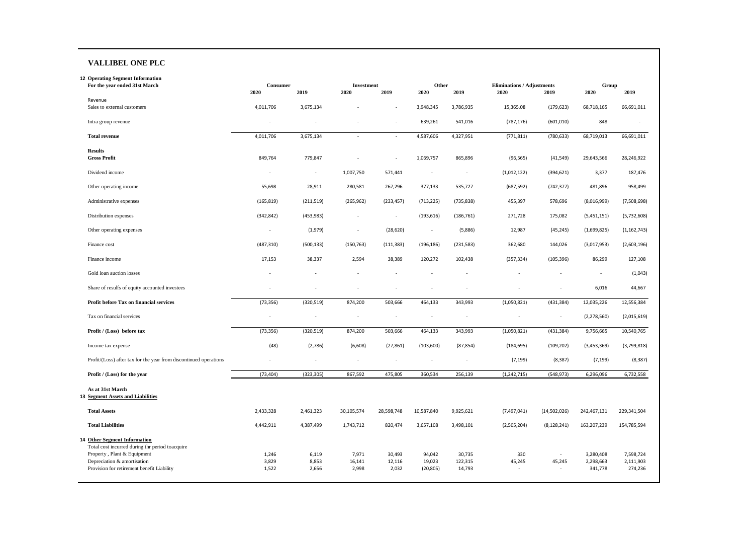#### **VALLIBEL ONE PLC**

Provision for retirement benefit Liability

**12 Operating Segment Information For the year ended 31st March** Revenue Sales to external customers Intra group revenue **Total revenue Results Gross Profit** Dividend income Other operating income Administrative expenses Distribution expenses Other operating expenses Finance cost Finance income Gold loan auction losses Share of resulfs of equity accounted investees **Profit before Tax on financial services** Tax on financial services **Profit / (Loss) before tax**  Income tax expense Profit/(Loss) after tax for the year from discontinued operations **Profit / (Loss) for the year As at 31st March 13 Segment Assets and Liabilities Total Assets Total Liabilities 14 Other Segment Information** Total cost incurred during thr period toacquire Property , Plant & Equipment Depreciation & amortisation **2020 2019 2020 2019 2020 2019 2020 2019 2020 2019** 4,011,706 3,675,134 - - 3,948,345 3,786,935 15,365.08 (179,623) 68,718,165 66,691,011 - - - - 639,261 541,016 (787,176) (601,010) 848 - 4,011,706 3,675,134 - - 4,587,606 4,327,951 (771,811) (780,633) 68,719,013 66,691,011 849,764 779,847 - - 1,069,757 865,896 (96,565) (41,549) 29,643,566 28,246,922 - - 1,007,750 571,441 - - (1,012,122) (394,621) 3,377 187,476 55,698 28,911 280,581 267,296 377,133 535,727 (687,592) (742,377) 481,896 958,499 (165,819) (211,519) (265,962) (233,457) (713,225) (735,838) 455,397 578,696 (8,016,999) (7,508,698) (342,842) (453,983) - - (193,616) (186,761) 271,728 175,082 (5,451,151) (5,732,608) - (1,979) - (28,620) - (5,886) 12,987 (45,245) (1,699,825) (1,162,743) (487,310) (500,133) (150,763) (111,383) (196,186) (231,583) 362,680 144,026 (3,017,953) (2,603,196) 17,153 38,337 2,594 38,389 120,272 102,438 (357,334) (105,396) 86,299 127,108 - - - - - - - - - (1,043) - - - - - - - - 6,016 44,667 (73,356) (320,519) 874,200 503,666 464,133 343,993 (1,050,821) (431,384) 12,035,226 12,556,384 - - - - - - - - (2,278,560) (2,015,619) (73,356) (320,519) 874,200 503,666 464,133 343,993 (1,050,821) (431,384) 9,756,665 10,540,765 (48) (2,786) (6,608) (27,861) (103,600) (87,854) (184,695) (109,202) (3,453,369) (3,799,818) - - - - - - (7,199) (8,387) (7,199) (8,387) (73,404) (323,305) 867,592 475,805 360,534 256,139 (1,242,715) (548,973) 6,296,096 6,732,558 2,433,328 2,461,323 30,105,574 28,598,748 10,587,840 9,925,621 (7,497,041) (14,502,026) 242,467,131 229,341,504 4,442,911 4,387,499 1,743,712 820,474 3,657,108 3,498,101 (2,505,204) (8,128,241) 163,207,239 154,785,594 1,246 6,119 7,971 30,493 94,042 30,735 330 - 3,280,408 7,598,724 3,829 8,853 16,141 12,116 19,023 122,315 45,245 45,245 2,298,663 2,111,903 **Consumer Investment Other Eliminations / Adjustments Group**

1,522 2,656 2,998 2,032 (20,805) 14,793 - - 341,778 274,236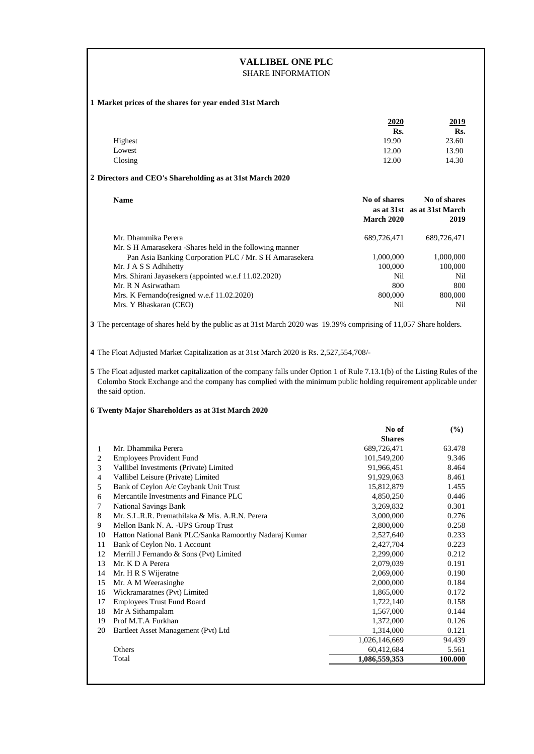| <b>VALLIBEL ONE PLC</b><br><b>SHARE INFORMATION</b>     |                                                                                                                                                                                                                                                                                                                           |                        |                                     |  |  |
|---------------------------------------------------------|---------------------------------------------------------------------------------------------------------------------------------------------------------------------------------------------------------------------------------------------------------------------------------------------------------------------------|------------------------|-------------------------------------|--|--|
| 1 Market prices of the shares for year ended 31st March |                                                                                                                                                                                                                                                                                                                           |                        |                                     |  |  |
|                                                         |                                                                                                                                                                                                                                                                                                                           | 2020<br>Rs.            | 2019                                |  |  |
|                                                         | Highest                                                                                                                                                                                                                                                                                                                   | 19.90                  | Rs.<br>23.60                        |  |  |
|                                                         | Lowest                                                                                                                                                                                                                                                                                                                    | 12.00                  | 13.90                               |  |  |
|                                                         | Closing                                                                                                                                                                                                                                                                                                                   | 12.00                  | 14.30                               |  |  |
|                                                         | 2 Directors and CEO's Shareholding as at 31st March 2020                                                                                                                                                                                                                                                                  |                        |                                     |  |  |
|                                                         | <b>Name</b>                                                                                                                                                                                                                                                                                                               | No of shares           | No of shares                        |  |  |
|                                                         |                                                                                                                                                                                                                                                                                                                           | <b>March 2020</b>      | as at 31st as at 31st March<br>2019 |  |  |
|                                                         |                                                                                                                                                                                                                                                                                                                           |                        |                                     |  |  |
|                                                         | Mr. Dhammika Perera<br>Mr. S H Amarasekera -Shares held in the following manner                                                                                                                                                                                                                                           | 689,726,471            | 689,726,471                         |  |  |
|                                                         | Pan Asia Banking Corporation PLC / Mr. S H Amarasekera                                                                                                                                                                                                                                                                    | 1,000,000              | 1,000,000                           |  |  |
|                                                         | Mr. J A S S Adhihetty                                                                                                                                                                                                                                                                                                     | 100,000                | 100,000                             |  |  |
|                                                         | Mrs. Shirani Jayasekera (appointed w.e.f 11.02.2020)                                                                                                                                                                                                                                                                      | Nil                    | Nil                                 |  |  |
|                                                         | Mr. R N Asirwatham                                                                                                                                                                                                                                                                                                        | 800                    | 800                                 |  |  |
|                                                         | Mrs. K Fernando(resigned w.e.f 11.02.2020)                                                                                                                                                                                                                                                                                | 800,000                | 800,000                             |  |  |
|                                                         | Mrs. Y Bhaskaran (CEO)                                                                                                                                                                                                                                                                                                    | Nil                    | Nil                                 |  |  |
|                                                         | 5 The Float adjusted market capitalization of the company falls under Option 1 of Rule 7.13.1(b) of the Listing Rules of the<br>Colombo Stock Exchange and the company has complied with the minimum public holding requirement applicable under<br>the said option.<br>6 Twenty Major Shareholders as at 31st March 2020 |                        |                                     |  |  |
|                                                         |                                                                                                                                                                                                                                                                                                                           |                        |                                     |  |  |
|                                                         |                                                                                                                                                                                                                                                                                                                           | No of<br><b>Shares</b> | (%)                                 |  |  |
| 1                                                       | Mr. Dhammika Perera                                                                                                                                                                                                                                                                                                       | 689,726,471            | 63.478                              |  |  |
| $\overline{\mathbf{c}}$                                 | <b>Employees Provident Fund</b>                                                                                                                                                                                                                                                                                           | 101,549,200            | 9.346                               |  |  |
| $\sqrt{3}$                                              | Vallibel Investments (Private) Limited                                                                                                                                                                                                                                                                                    | 91,966,451             | 8.464                               |  |  |
| $\overline{4}$                                          | Vallibel Leisure (Private) Limited                                                                                                                                                                                                                                                                                        | 91,929,063             | 8.461                               |  |  |
| $\mathfrak s$                                           | Bank of Ceylon A/c Ceybank Unit Trust                                                                                                                                                                                                                                                                                     | 15,812,879             | 1.455                               |  |  |
| 6                                                       | Mercantile Investments and Finance PLC                                                                                                                                                                                                                                                                                    | 4,850,250              | 0.446                               |  |  |
| $\tau$<br>$\,8\,$                                       | National Savings Bank<br>Mr. S.L.R.R. Premathilaka & Mis. A.R.N. Perera                                                                                                                                                                                                                                                   | 3,269,832<br>3,000,000 | 0.301<br>0.276                      |  |  |
| 9                                                       | Mellon Bank N. A. - UPS Group Trust                                                                                                                                                                                                                                                                                       | 2,800,000              | 0.258                               |  |  |
| 10                                                      | Hatton National Bank PLC/Sanka Ramoorthy Nadaraj Kumar                                                                                                                                                                                                                                                                    | 2,527,640              | 0.233                               |  |  |
| 11                                                      | Bank of Ceylon No. 1 Account                                                                                                                                                                                                                                                                                              | 2,427,704              | 0.223                               |  |  |
| 12                                                      | Merrill J Fernando & Sons (Pvt) Limited                                                                                                                                                                                                                                                                                   | 2,299,000              | 0.212                               |  |  |
| 13                                                      | Mr. K D A Perera                                                                                                                                                                                                                                                                                                          | 2,079,039              | 0.191                               |  |  |
| 14                                                      | Mr. H R S Wijeratne                                                                                                                                                                                                                                                                                                       | 2,069,000              | 0.190                               |  |  |
| 15                                                      | Mr. A M Weerasinghe                                                                                                                                                                                                                                                                                                       | 2,000,000              | 0.184                               |  |  |
| 16                                                      | Wickramaratnes (Pvt) Limited                                                                                                                                                                                                                                                                                              | 1,865,000              | 0.172                               |  |  |
| 17<br>18                                                | Employees Trust Fund Board<br>Mr A Sithampalam                                                                                                                                                                                                                                                                            | 1,722,140<br>1,567,000 | 0.158<br>0.144                      |  |  |
| 19                                                      | Prof M.T.A Furkhan                                                                                                                                                                                                                                                                                                        | 1,372,000              | 0.126                               |  |  |
| 20                                                      | Bartleet Asset Management (Pvt) Ltd                                                                                                                                                                                                                                                                                       | 1,314,000              | 0.121                               |  |  |
|                                                         |                                                                                                                                                                                                                                                                                                                           | 1,026,146,669          | 94.439                              |  |  |
|                                                         | Others                                                                                                                                                                                                                                                                                                                    | 60,412,684             | 5.561                               |  |  |
|                                                         | Total                                                                                                                                                                                                                                                                                                                     | 1,086,559,353          | 100.000                             |  |  |